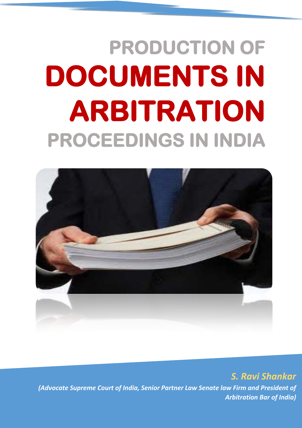# **PRODUCTION OF DOCUMENTS IN ARBITRATION PROCEEDINGS IN INDIA**



*S. Ravi Shankar (Advocate Supreme Court of India, Senior Partner Law Senate law Firm and President of Arbitration Bar of India)*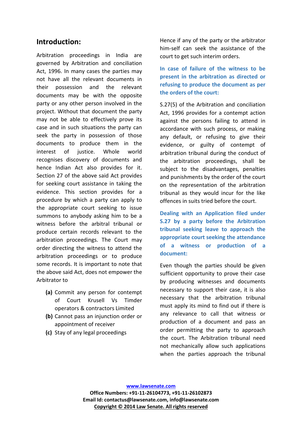## **Introduction:**

Arbitration proceedings in India are governed by Arbitration and conciliation Act, 1996. In many cases the parties may not have all the relevant documents in their possession and the relevant documents may be with the opposite party or any other person involved in the project. Without that document the party may not be able to effectively prove its case and in such situations the party can seek the party in possession of those documents to produce them in the interest of justice. Whole world recognises discovery of documents and hence Indian Act also provides for it. Section 27 of the above said Act provides for seeking court assistance in taking the evidence. This section provides for a procedure by which a party can apply to the appropriate court seeking to issue summons to anybody asking him to be a witness before the arbitral tribunal or produce certain records relevant to the arbitration proceedings. The Court may order directing the witness to attend the arbitration proceedings or to produce some records. It is important to note that the above said Act, does not empower the Arbitrator to

- **(a)** Commit any person for contempt of Court Krusell Vs Timder operators & contractors Limited
- **(b)** Cannot pass an injunction order or appointment of receiver
- **(c)** Stay of any legal proceedings

Hence if any of the party or the arbitrator him-self can seek the assistance of the court to get such interim orders.

**In case of failure of the witness to be present in the arbitration as directed or refusing to produce the document as per the orders of the court:**

S.27(5) of the Arbitration and conciliation Act, 1996 provides for a contempt action against the persons failing to attend in accordance with such process, or making any default, or refusing to give their evidence, or guilty of contempt of arbitration tribunal during the conduct of the arbitration proceedings, shall be subject to the disadvantages, penalties and punishments by the order of the court on the representation of the arbitration tribunal as they would incur for the like offences in suits tried before the court.

**Dealing with an Application filed under S.27 by a party before the Arbitration tribunal seeking leave to approach the appropriate court seeking the attendance of a witness or production of a document:**

Even though the parties should be given sufficient opportunity to prove their case by producing witnesses and documents necessary to support their case, it is also necessary that the arbitration tribunal must apply its mind to find out if there is any relevance to call that witness or production of a document and pass an order permitting the party to approach the court. The Arbitration tribunal need not mechanically allow such applications when the parties approach the tribunal

**Office Numbers: +91-11-26104773, +91-11-26102873 Email Id: contactus@lawsenate.com, info@lawsenate.com Copyright © 2014 Law Senate. All rights reserved**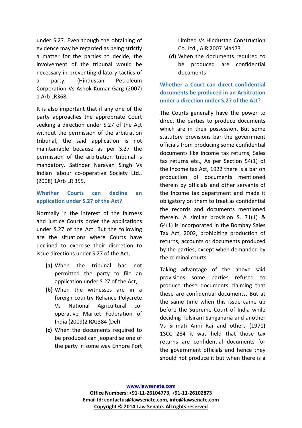under S.27. Even though the obtaining of evidence may be regarded as being strictly a matter for the parties to decide, the involvement of the tribunal would be necessary in preventing dilatory tactics of a party. (Hindustan Petroleum Corporation Vs Ashok Kumar Garg (2007) 1 Arb LR368.

It is also important that if any one of the party approaches the appropriate Court seeking a direction under S.27 of the Act without the permission of the arbitration tribunal, the said application is not maintainable because as per S.27 the permission of the arbitration tribunal is mandatory. Satinder Narayan Singh Vs Indian labour co-operative Society Ltd., (2008) 1Arb LR 355.

#### **Whether Courts can decline an application under S.27 of the Act?**

Normally in the interest of the fairness and justice Courts order the applications under S.27 of the Act. But the following are the situations where Courts have declined to exercise their discretion to issue directions under S.27 of the Act,

- **(a)** When the tribunal has not permitted the party to file an application under S.27 of the Act,
- **(b)** When the witnesses are in a foreign country Reliance Polycrete Vs National Agricultural cooperative Market Federation of India (2009)2 RAJ384 (Del)
- **(c)** When the documents required to be produced can jeopardise one of the party in some way Ennore Port

Limited Vs Hindustan Construction Co. Ltd., AIR 2007 Mad73

**(d)** When the documents required to be produced are confidential documents

### **Whether a Court can direct confidential documents be produced in an Arbitration under a direction under S.27 of the Act**?

The Courts generally have the power to direct the parties to produce documents which are in their possession**.** But **s**ome statutory provisions bar the government officials from producing some confidential documents like income tax returns, Sales tax returns etc., As per Section 54(1) of the Income tax Act, 1922 there is a bar on production of documents mentioned therein by officials and other servants of the Income tax department and made it obligatory on them to treat as confidential the records and documents mentioned therein. A similar provision S. 71(1) & 64(1) is incorporated in the Bombay Sales Tax Act, 2002, prohibiting production of returns, accounts or documents produced by the parties, except when demanded by the criminal courts.

Taking advantage of the above said provisions some parties refused to produce these documents claiming that these are confidential documents. But at the same time when this issue came up before the Supreme Court of India while deciding Tulsiram Sanganaria and another Vs Srimati Anni Rai and others (1971) 1SCC 284 it was held that those tax returns are confidential documents for the government officials and hence they should not produce it but when there is a